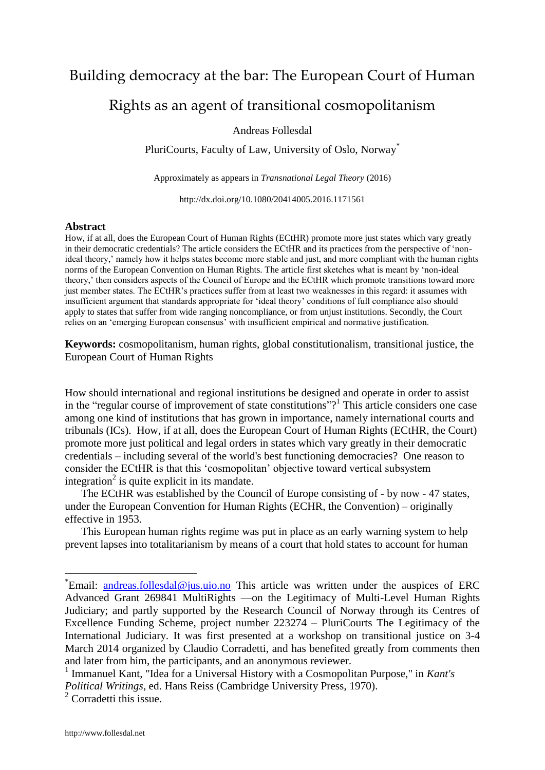### Building democracy at the bar: The European Court of Human

### Rights as an agent of transitional cosmopolitanism

#### Andreas Follesdal

### PluriCourts, Faculty of Law, University of Oslo, Norway<sup>\*</sup>

Approximately as appears in *Transnational Legal Theory* (2016)

http://dx.doi.org/10.1080/20414005.2016.1171561

#### **Abstract**

How, if at all, does the European Court of Human Rights (ECtHR) promote more just states which vary greatly in their democratic credentials? The article considers the ECtHR and its practices from the perspective of 'nonideal theory,' namely how it helps states become more stable and just, and more compliant with the human rights norms of the European Convention on Human Rights. The article first sketches what is meant by 'non-ideal theory,' then considers aspects of the Council of Europe and the ECtHR which promote transitions toward more just member states. The ECtHR's practices suffer from at least two weaknesses in this regard: it assumes with insufficient argument that standards appropriate for 'ideal theory' conditions of full compliance also should apply to states that suffer from wide ranging noncompliance, or from unjust institutions. Secondly, the Court relies on an 'emerging European consensus' with insufficient empirical and normative justification.

**Keywords:** cosmopolitanism, human rights, global constitutionalism, transitional justice, the European Court of Human Rights

How should international and regional institutions be designed and operate in order to assist in the "regular course of improvement of state constitutions"?<sup>1</sup> This article considers one case among one kind of institutions that has grown in importance, namely international courts and tribunals (ICs). How, if at all, does the European Court of Human Rights (ECtHR, the Court) promote more just political and legal orders in states which vary greatly in their democratic credentials – including several of the world's best functioning democracies? One reason to consider the ECtHR is that this 'cosmopolitan' objective toward vertical subsystem integration<sup>2</sup> is quite explicit in its mandate.

The ECtHR was established by the Council of Europe consisting of - by now - 47 states, under the European Convention for Human Rights (ECHR, the Convention) – originally effective in 1953.

This European human rights regime was put in place as an early warning system to help prevent lapses into totalitarianism by means of a court that hold states to account for human

<sup>&</sup>lt;sup>\*</sup>Email: [andreas.follesdal@jus.uio.no](mailto:andreas.follesdal@jus.uio.no) This article was written under the auspices of ERC Advanced Grant 269841 MultiRights —on the Legitimacy of Multi-Level Human Rights Judiciary; and partly supported by the Research Council of Norway through its Centres of Excellence Funding Scheme, project number 223274 – PluriCourts The Legitimacy of the International Judiciary. It was first presented at a workshop on transitional justice on 3-4 March 2014 organized by Claudio Corradetti, and has benefited greatly from comments then and later from him, the participants, and an anonymous reviewer.

<sup>&</sup>lt;sup>1</sup> Immanuel Kant, "Idea for a Universal History with a Cosmopolitan Purpose," in *Kant's Political Writings*, ed. Hans Reiss (Cambridge University Press, 1970).

<sup>&</sup>lt;sup>2</sup> Corradetti this issue.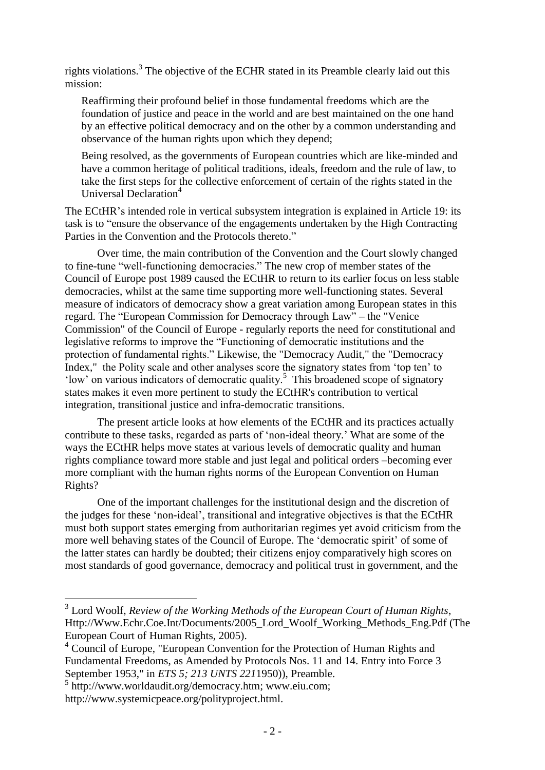rights violations.<sup>3</sup> The objective of the ECHR stated in its Preamble clearly laid out this mission:

Reaffirming their profound belief in those fundamental freedoms which are the foundation of justice and peace in the world and are best maintained on the one hand by an effective political democracy and on the other by a common understanding and observance of the human rights upon which they depend;

Being resolved, as the governments of European countries which are like-minded and have a common heritage of political traditions, ideals, freedom and the rule of law, to take the first steps for the collective enforcement of certain of the rights stated in the Universal Declaration<sup>4</sup>

The ECtHR's intended role in vertical subsystem integration is explained in Article 19: its task is to "ensure the observance of the engagements undertaken by the High Contracting Parties in the Convention and the Protocols thereto."

Over time, the main contribution of the Convention and the Court slowly changed to fine-tune "well-functioning democracies." The new crop of member states of the Council of Europe post 1989 caused the ECtHR to return to its earlier focus on less stable democracies, whilst at the same time supporting more well-functioning states. Several measure of indicators of democracy show a great variation among European states in this regard. The "European Commission for Democracy through Law" – the "Venice Commission" of the Council of Europe - regularly reports the need for constitutional and legislative reforms to improve the "Functioning of democratic institutions and the protection of fundamental rights." Likewise, the "Democracy Audit," the "Democracy Index," the Polity scale and other analyses score the signatory states from 'top ten' to 'low' on various indicators of democratic quality.<sup>5</sup> This broadened scope of signatory states makes it even more pertinent to study the ECtHR's contribution to vertical integration, transitional justice and infra-democratic transitions.

The present article looks at how elements of the ECtHR and its practices actually contribute to these tasks, regarded as parts of 'non-ideal theory.' What are some of the ways the ECtHR helps move states at various levels of democratic quality and human rights compliance toward more stable and just legal and political orders –becoming ever more compliant with the human rights norms of the European Convention on Human Rights?

One of the important challenges for the institutional design and the discretion of the judges for these 'non-ideal', transitional and integrative objectives is that the ECtHR must both support states emerging from authoritarian regimes yet avoid criticism from the more well behaving states of the Council of Europe. The 'democratic spirit' of some of the latter states can hardly be doubted; their citizens enjoy comparatively high scores on most standards of good governance, democracy and political trust in government, and the

<sup>3</sup> Lord Woolf, *Review of the Working Methods of the European Court of Human Rights*, Http://Www.Echr.Coe.Int/Documents/2005\_Lord\_Woolf\_Working\_Methods\_Eng.Pdf (The European Court of Human Rights, 2005).

<sup>&</sup>lt;sup>4</sup> Council of Europe, "European Convention for the Protection of Human Rights and Fundamental Freedoms, as Amended by Protocols Nos. 11 and 14. Entry into Force 3 September 1953," in *ETS 5; 213 UNTS 221*1950)), Preamble.

<sup>&</sup>lt;sup>5</sup> http://www.worldaudit.org/democracy.htm; www.eiu.com;

http://www.systemicpeace.org/polityproject.html.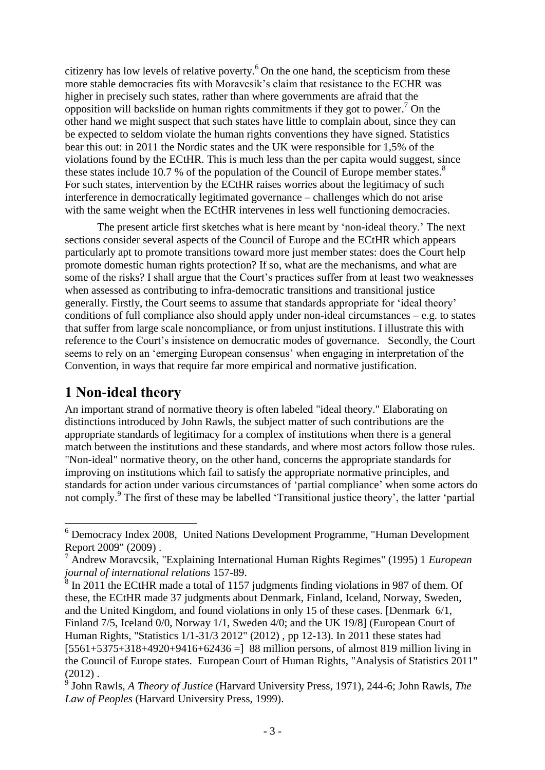citizenry has low levels of relative poverty.<sup>6</sup> On the one hand, the scepticism from these more stable democracies fits with Moravcsik's claim that resistance to the ECHR was higher in precisely such states, rather than where governments are afraid that the opposition will backslide on human rights commitments if they got to power.<sup>7</sup> On the other hand we might suspect that such states have little to complain about, since they can be expected to seldom violate the human rights conventions they have signed. Statistics bear this out: in 2011 the Nordic states and the UK were responsible for 1,5% of the violations found by the ECtHR. This is much less than the per capita would suggest, since these states include 10.7 % of the population of the Council of Europe member states.<sup>8</sup> For such states, intervention by the ECtHR raises worries about the legitimacy of such interference in democratically legitimated governance – challenges which do not arise with the same weight when the ECtHR intervenes in less well functioning democracies.

The present article first sketches what is here meant by 'non-ideal theory.' The next sections consider several aspects of the Council of Europe and the ECtHR which appears particularly apt to promote transitions toward more just member states: does the Court help promote domestic human rights protection? If so, what are the mechanisms, and what are some of the risks? I shall argue that the Court's practices suffer from at least two weaknesses when assessed as contributing to infra-democratic transitions and transitional justice generally. Firstly, the Court seems to assume that standards appropriate for 'ideal theory' conditions of full compliance also should apply under non-ideal circumstances – e.g. to states that suffer from large scale noncompliance, or from unjust institutions. I illustrate this with reference to the Court's insistence on democratic modes of governance. Secondly, the Court seems to rely on an 'emerging European consensus' when engaging in interpretation of the Convention, in ways that require far more empirical and normative justification.

## **1 Non-ideal theory**

 $\overline{a}$ 

An important strand of normative theory is often labeled "ideal theory." Elaborating on distinctions introduced by John Rawls, the subject matter of such contributions are the appropriate standards of legitimacy for a complex of institutions when there is a general match between the institutions and these standards, and where most actors follow those rules. "Non-ideal" normative theory, on the other hand, concerns the appropriate standards for improving on institutions which fail to satisfy the appropriate normative principles, and standards for action under various circumstances of 'partial compliance' when some actors do not comply.<sup>9</sup> The first of these may be labelled 'Transitional justice theory', the latter 'partial

<sup>6</sup> Democracy Index 2008, United Nations Development Programme, "Human Development Report 2009" (2009) .

<sup>7</sup> Andrew Moravcsik, "Explaining International Human Rights Regimes" (1995) 1 *European journal of international relations* 157-89.

<sup>8</sup> In 2011 the ECtHR made a total of 1157 judgments finding violations in 987 of them. Of these, the ECtHR made 37 judgments about Denmark, Finland, Iceland, Norway, Sweden, and the United Kingdom, and found violations in only 15 of these cases. [Denmark 6/1, Finland 7/5, Iceland 0/0, Norway 1/1, Sweden 4/0; and the UK 19/8] (European Court of Human Rights, "Statistics 1/1-31/3 2012" (2012) , pp 12-13). In 2011 these states had  $[5561+5375+318+4920+9416+62436]$  = 88 million persons, of almost 819 million living in the Council of Europe states. European Court of Human Rights, "Analysis of Statistics 2011"  $(2012)$ .

<sup>9</sup> John Rawls, *A Theory of Justice* (Harvard University Press, 1971), 244-6; John Rawls, *The Law of Peoples* (Harvard University Press, 1999).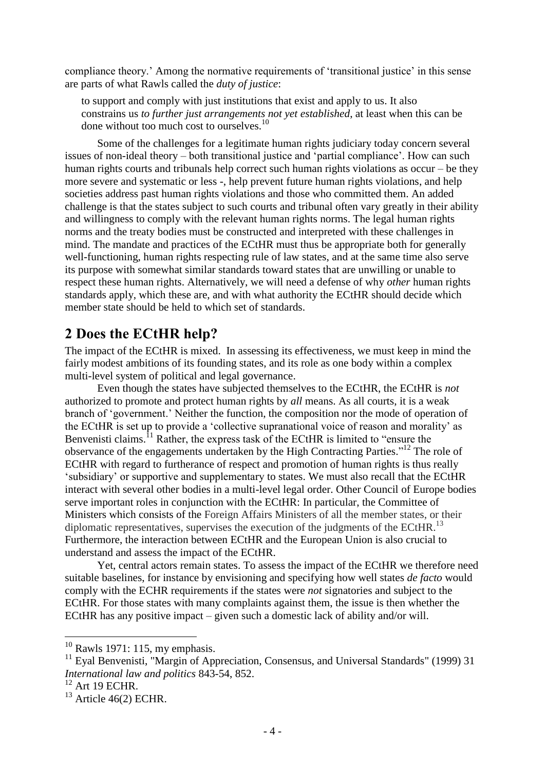compliance theory.' Among the normative requirements of 'transitional justice' in this sense are parts of what Rawls called the *duty of justice*:

to support and comply with just institutions that exist and apply to us. It also constrains us *to further just arrangements not yet established*, at least when this can be done without too much cost to ourselves.<sup>10</sup>

Some of the challenges for a legitimate human rights judiciary today concern several issues of non-ideal theory – both transitional justice and 'partial compliance'. How can such human rights courts and tribunals help correct such human rights violations as occur – be they more severe and systematic or less -, help prevent future human rights violations, and help societies address past human rights violations and those who committed them. An added challenge is that the states subject to such courts and tribunal often vary greatly in their ability and willingness to comply with the relevant human rights norms. The legal human rights norms and the treaty bodies must be constructed and interpreted with these challenges in mind. The mandate and practices of the ECtHR must thus be appropriate both for generally well-functioning, human rights respecting rule of law states, and at the same time also serve its purpose with somewhat similar standards toward states that are unwilling or unable to respect these human rights. Alternatively, we will need a defense of why *other* human rights standards apply, which these are, and with what authority the ECtHR should decide which member state should be held to which set of standards.

# **2 Does the ECtHR help?**

The impact of the ECtHR is mixed. In assessing its effectiveness, we must keep in mind the fairly modest ambitions of its founding states, and its role as one body within a complex multi-level system of political and legal governance.

Even though the states have subjected themselves to the ECtHR, the ECtHR is *not* authorized to promote and protect human rights by *all* means. As all courts, it is a weak branch of 'government.' Neither the function, the composition nor the mode of operation of the ECtHR is set up to provide a 'collective supranational voice of reason and morality' as Benvenisti claims.<sup>11</sup> Rather, the express task of the ECtHR is limited to "ensure the observance of the engagements undertaken by the High Contracting Parties."<sup>12</sup> The role of ECtHR with regard to furtherance of respect and promotion of human rights is thus really 'subsidiary' or supportive and supplementary to states. We must also recall that the ECtHR interact with several other bodies in a multi-level legal order. Other Council of Europe bodies serve important roles in conjunction with the ECtHR: In particular, the Committee of Ministers which consists of the Foreign Affairs Ministers of all the member states, or their diplomatic representatives, supervises the execution of the judgments of the ECtHR.<sup>13</sup> Furthermore, the interaction between ECtHR and the European Union is also crucial to understand and assess the impact of the ECtHR.

Yet, central actors remain states. To assess the impact of the ECtHR we therefore need suitable baselines, for instance by envisioning and specifying how well states *de facto* would comply with the ECHR requirements if the states were *not* signatories and subject to the ECtHR. For those states with many complaints against them, the issue is then whether the ECtHR has any positive impact – given such a domestic lack of ability and/or will.

 $10$  Rawls 1971: 115, my emphasis.

 $11$  Eyal Benvenisti, "Margin of Appreciation, Consensus, and Universal Standards" (1999) 31 *International law and politics* 843-54, 852.

 $12$  Art 19 ECHR.

 $13$  Article 46(2) ECHR.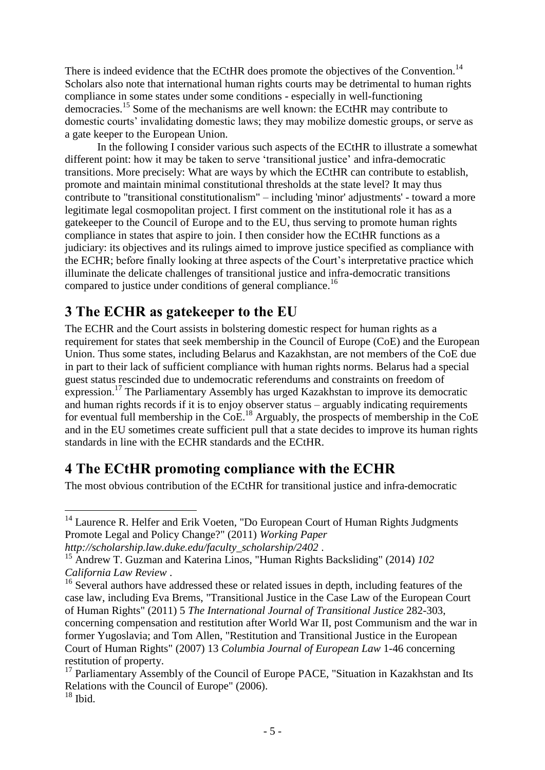There is indeed evidence that the ECtHR does promote the objectives of the Convention.<sup>14</sup> Scholars also note that international human rights courts may be detrimental to human rights compliance in some states under some conditions - especially in well-functioning democracies. <sup>15</sup> Some of the mechanisms are well known: the ECtHR may contribute to domestic courts' invalidating domestic laws; they may mobilize domestic groups, or serve as a gate keeper to the European Union.

In the following I consider various such aspects of the ECtHR to illustrate a somewhat different point: how it may be taken to serve 'transitional justice' and infra-democratic transitions. More precisely: What are ways by which the ECtHR can contribute to establish, promote and maintain minimal constitutional thresholds at the state level? It may thus contribute to "transitional constitutionalism" – including 'minor' adjustments' - toward a more legitimate legal cosmopolitan project. I first comment on the institutional role it has as a gatekeeper to the Council of Europe and to the EU, thus serving to promote human rights compliance in states that aspire to join. I then consider how the ECtHR functions as a judiciary: its objectives and its rulings aimed to improve justice specified as compliance with the ECHR; before finally looking at three aspects of the Court's interpretative practice which illuminate the delicate challenges of transitional justice and infra-democratic transitions compared to justice under conditions of general compliance. 16

# **3 The ECHR as gatekeeper to the EU**

The ECHR and the Court assists in bolstering domestic respect for human rights as a requirement for states that seek membership in the Council of Europe (CoE) and the European Union. Thus some states, including Belarus and Kazakhstan, are not members of the CoE due in part to their lack of sufficient compliance with human rights norms. [Belarus](http://en.wikipedia.org/wiki/Belarus) had a special guest status rescinded due to undemocratic referendums and constraints on freedom of expression.<sup>17</sup> The Parliamentary Assembly has urged [Kazakhstan](http://en.wikipedia.org/wiki/Kazakhstan) to improve its democratic and human rights records if it is to enjoy observer status – arguably indicating requirements for eventual full membership in the  $CoE<sup>18</sup>$  Arguably, the prospects of membership in the CoE and in the EU sometimes create sufficient pull that a state decides to improve its human rights standards in line with the ECHR standards and the ECtHR.

# **4 The ECtHR promoting compliance with the ECHR**

The most obvious contribution of the ECtHR for transitional justice and infra-democratic

 $14$  Laurence R. Helfer and Erik Voeten, "Do European Court of Human Rights Judgments Promote Legal and Policy Change?" (2011) *Working Paper* 

*http://scholarship.law.duke.edu/faculty\_scholarship/2402* .

<sup>15</sup> Andrew T. Guzman and Katerina Linos, "Human Rights Backsliding" (2014) *102 California Law Review* .

 $16$  Several authors have addressed these or related issues in depth, including features of the case law, including Eva Brems, "Transitional Justice in the Case Law of the European Court of Human Rights" (2011) 5 *The International Journal of Transitional Justice* 282-303, concerning compensation and restitution after World War II, post Communism and the war in former Yugoslavia; and Tom Allen, "Restitution and Transitional Justice in the European Court of Human Rights" (2007) 13 *Columbia Journal of European Law* 1-46 concerning restitution of property.

<sup>&</sup>lt;sup>17</sup> Parliamentary Assembly of the Council of Europe PACE, "Situation in Kazakhstan and Its Relations with the Council of Europe" (2006).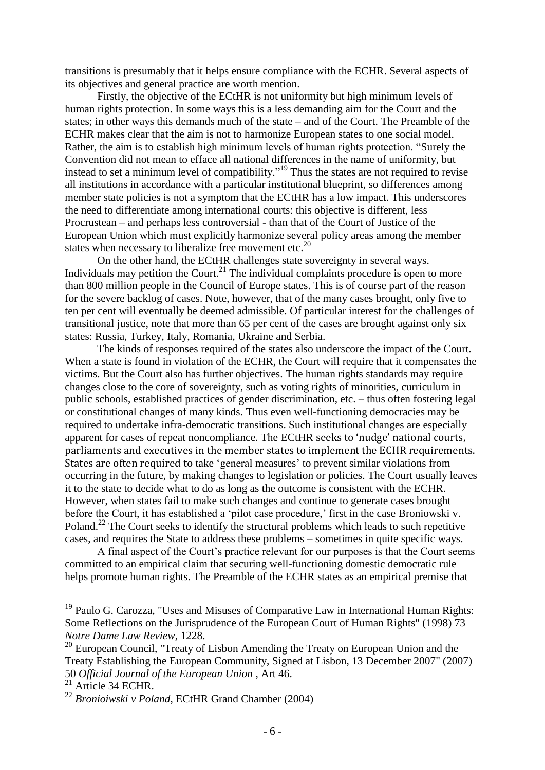transitions is presumably that it helps ensure compliance with the ECHR. Several aspects of its objectives and general practice are worth mention.

Firstly, the objective of the ECtHR is not uniformity but high minimum levels of human rights protection. In some ways this is a less demanding aim for the Court and the states; in other ways this demands much of the state – and of the Court. The Preamble of the ECHR makes clear that the aim is not to harmonize European states to one social model. Rather, the aim is to establish high minimum levels of human rights protection. "Surely the Convention did not mean to efface all national differences in the name of uniformity, but instead to set a minimum level of compatibility."<sup>19</sup> Thus the states are not required to revise all institutions in accordance with a particular institutional blueprint, so differences among member state policies is not a symptom that the ECtHR has a low impact. This underscores the need to differentiate among international courts: this objective is different, less Procrustean – and perhaps less controversial - than that of the Court of Justice of the European Union which must explicitly harmonize several policy areas among the member states when necessary to liberalize free movement etc.<sup>20</sup>

On the other hand, the ECtHR challenges state sovereignty in several ways. Individuals may petition the Court.<sup>21</sup> The individual complaints procedure is open to more than 800 million people in the Council of Europe states. This is of course part of the reason for the severe backlog of cases. Note, however, that of the many cases brought, only five to ten per cent will eventually be deemed admissible. Of particular interest for the challenges of transitional justice, note that more than 65 per cent of the cases are brought against only six states: Russia, Turkey, Italy, Romania, Ukraine and Serbia.

The kinds of responses required of the states also underscore the impact of the Court. When a state is found in violation of the ECHR, the Court will require that it compensates the victims. But the Court also has further objectives. The human rights standards may require changes close to the core of sovereignty, such as voting rights of minorities, curriculum in public schools, established practices of gender discrimination, etc. – thus often fostering legal or constitutional changes of many kinds. Thus even well-functioning democracies may be required to undertake infra-democratic transitions. Such institutional changes are especially apparent for cases of repeat noncompliance. The ECtHR seeks to 'nudge' national courts, parliaments and executives in the member states to implement the ECHR requirements. States are often required to take 'general measures' to prevent similar violations from occurring in the future, by making changes to legislation or policies. The Court usually leaves it to the state to decide what to do as long as the outcome is consistent with the ECHR. However, when states fail to make such changes and continue to generate cases brought before the Court, it has established a 'pilot case procedure,' first in the case Broniowski v. Poland.<sup>22</sup> The Court seeks to identify the structural problems which leads to such repetitive cases, and requires the State to address these problems – sometimes in quite specific ways.

A final aspect of the Court's practice relevant for our purposes is that the Court seems committed to an empirical claim that securing well-functioning domestic democratic rule helps promote human rights. The Preamble of the ECHR states as an empirical premise that

 $19$  Paulo G. Carozza, "Uses and Misuses of Comparative Law in International Human Rights: Some Reflections on the Jurisprudence of the European Court of Human Rights" (1998) 73 *Notre Dame Law Review*, 1228.

 $20$  European Council, "Treaty of Lisbon Amending the Treaty on European Union and the Treaty Establishing the European Community, Signed at Lisbon, 13 December 2007" (2007) 50 *Official Journal of the European Union* , Art 46.

 $21$  Article 34 ECHR.

<sup>22</sup> *Bronioiwski v Poland*, ECtHR Grand Chamber (2004)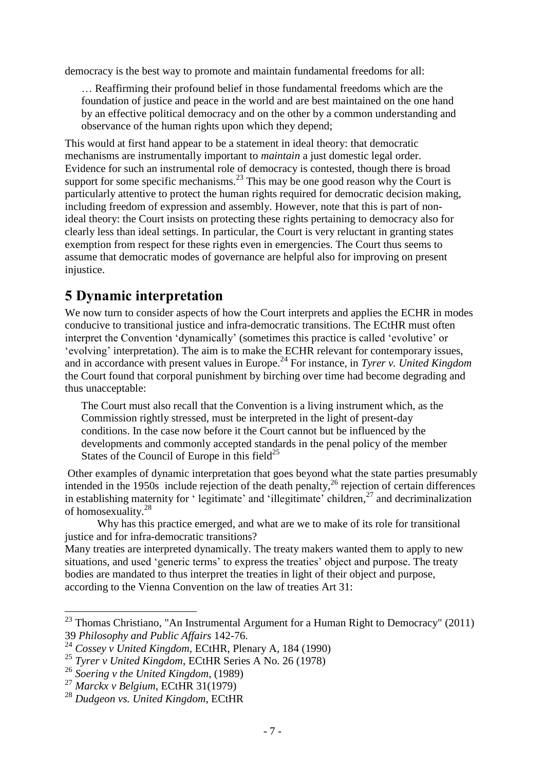democracy is the best way to promote and maintain fundamental freedoms for all:

… Reaffirming their profound belief in those fundamental freedoms which are the foundation of justice and peace in the world and are best maintained on the one hand by an effective political democracy and on the other by a common understanding and observance of the human rights upon which they depend;

This would at first hand appear to be a statement in ideal theory: that democratic mechanisms are instrumentally important to *maintain* a just domestic legal order. Evidence for such an instrumental role of democracy is contested, though there is broad support for some specific mechanisms.<sup>23</sup> This may be one good reason why the Court is particularly attentive to protect the human rights required for democratic decision making, including freedom of expression and assembly. However, note that this is part of nonideal theory: the Court insists on protecting these rights pertaining to democracy also for clearly less than ideal settings. In particular, the Court is very reluctant in granting states exemption from respect for these rights even in emergencies. The Court thus seems to assume that democratic modes of governance are helpful also for improving on present injustice.

## **5 Dynamic interpretation**

We now turn to consider aspects of how the Court interprets and applies the ECHR in modes conducive to transitional justice and infra-democratic transitions. The ECtHR must often interpret the Convention 'dynamically' (sometimes this practice is called 'evolutive' or 'evolving' interpretation). The aim is to make the ECHR relevant for contemporary issues, and in accordance with present values in Europe. <sup>24</sup> For instance, in *Tyrer v. United Kingdom*  the Court found that corporal punishment by birching over time had become degrading and thus unacceptable:

The Court must also recall that the Convention is a living instrument which, as the Commission rightly stressed, must be interpreted in the light of present-day conditions. In the case now before it the Court cannot but be influenced by the developments and commonly accepted standards in the penal policy of the member States of the Council of Europe in this field<sup>25</sup>

Other examples of dynamic interpretation that goes beyond what the state parties presumably intended in the 1950s include rejection of the death penalty, <sup>26</sup> rejection of certain differences in establishing maternity for ' legitimate' and 'illegitimate' children, <sup>27</sup> and decriminalization of homosexuality.<sup>28</sup>

Why has this practice emerged, and what are we to make of its role for transitional justice and for infra-democratic transitions?

Many treaties are interpreted dynamically. The treaty makers wanted them to apply to new situations, and used 'generic terms' to express the treaties' object and purpose. The treaty bodies are mandated to thus interpret the treaties in light of their object and purpose, according to the Vienna Convention on the law of treaties Art 31:

 $^{23}$  Thomas Christiano, "An Instrumental Argument for a Human Right to Democracy" (2011) 39 *Philosophy and Public Affairs* 142-76.

<sup>&</sup>lt;sup>24</sup> Cossey v United Kingdom, ECtHR, Plenary A, 184 (1990)

<sup>25</sup> *Tyrer v United Kingdom*, ECtHR Series A No. 26 (1978)

<sup>26</sup> *Soering v the United Kingdom*, (1989)

<sup>27</sup> *Marckx v Belgium*, ECtHR 31(1979)

<sup>28</sup> *Dudgeon vs. United Kingdom*, ECtHR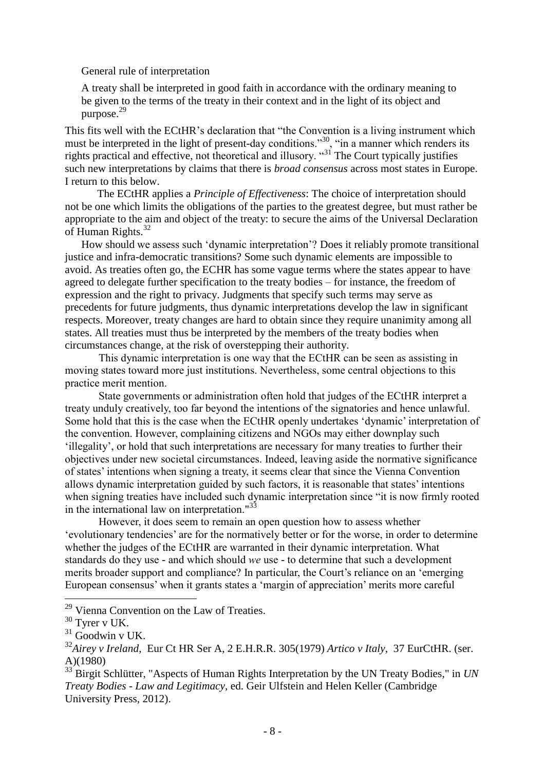General rule of interpretation

A treaty shall be interpreted in good faith in accordance with the ordinary meaning to be given to the terms of the treaty in their context and in the light of its object and purpose.<sup>29</sup>

This fits well with the ECtHR's declaration that "the Convention is a living instrument which must be interpreted in the light of present-day conditions."<sup>30</sup>, "in a manner which renders its rights practical and effective, not theoretical and illusory. "<sup>31</sup> The Court typically justifies such new interpretations by claims that there is *broad consensus* across most states in Europe. I return to this below.

The ECtHR applies a *Principle of Effectiveness*: The choice of interpretation should not be one which limits the obligations of the parties to the greatest degree, but must rather be appropriate to the aim and object of the treaty: to secure the aims of the Universal Declaration of Human Rights.<sup>32</sup>

How should we assess such 'dynamic interpretation'? Does it reliably promote transitional justice and infra-democratic transitions? Some such dynamic elements are impossible to avoid. As treaties often go, the ECHR has some vague terms where the states appear to have agreed to delegate further specification to the treaty bodies – for instance, the freedom of expression and the right to privacy. Judgments that specify such terms may serve as precedents for future judgments, thus dynamic interpretations develop the law in significant respects. Moreover, treaty changes are hard to obtain since they require unanimity among all states. All treaties must thus be interpreted by the members of the treaty bodies when circumstances change, at the risk of overstepping their authority.

This dynamic interpretation is one way that the ECtHR can be seen as assisting in moving states toward more just institutions. Nevertheless, some central objections to this practice merit mention.

State governments or administration often hold that judges of the ECtHR interpret a treaty unduly creatively, too far beyond the intentions of the signatories and hence unlawful. Some hold that this is the case when the ECtHR openly undertakes 'dynamic' interpretation of the convention. However, complaining citizens and NGOs may either downplay such 'illegality', or hold that such interpretations are necessary for many treaties to further their objectives under new societal circumstances. Indeed, leaving aside the normative significance of states' intentions when signing a treaty, it seems clear that since the Vienna Convention allows dynamic interpretation guided by such factors, it is reasonable that states' intentions when signing treaties have included such dynamic interpretation since "it is now firmly rooted in the international law on interpretation."<sup>33</sup>

However, it does seem to remain an open question how to assess whether 'evolutionary tendencies' are for the normatively better or for the worse, in order to determine whether the judges of the ECtHR are warranted in their dynamic interpretation. What standards do they use - and which should *we* use - to determine that such a development merits broader support and compliance? In particular, the Court's reliance on an 'emerging European consensus' when it grants states a 'margin of appreciation' merits more careful

<sup>&</sup>lt;sup>29</sup> Vienna Convention on the Law of Treaties.

<sup>30</sup> Tyrer v UK.

 $31$  Goodwin v UK.

<sup>32</sup>*Airey v Ireland*, Eur Ct HR Ser A, 2 E.H.R.R. 305(1979) *Artico v Italy*, 37 EurCtHR. (ser. A)(1980)

<sup>&</sup>lt;sup>33</sup> Birgit Schlütter, "Aspects of Human Rights Interpretation by the UN Treaty Bodies," in *UN Treaty Bodies - Law and Legitimacy*, ed. Geir Ulfstein and Helen Keller (Cambridge University Press, 2012).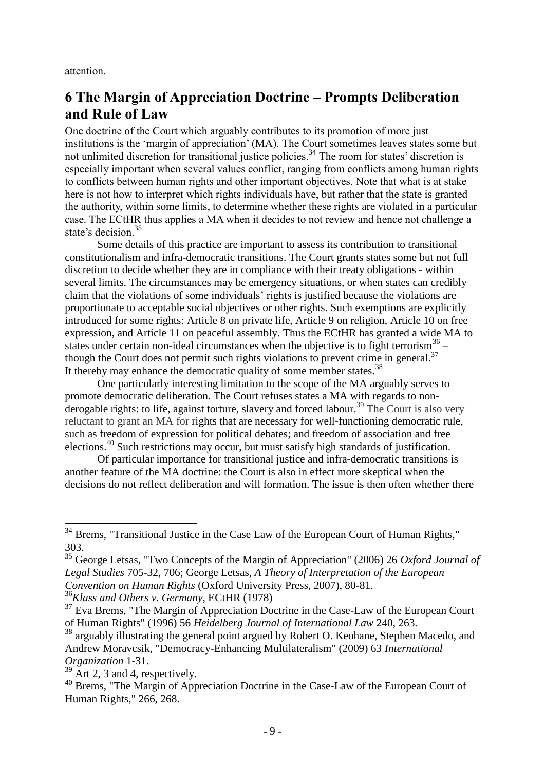attention.

## **6 The Margin of Appreciation Doctrine – Prompts Deliberation and Rule of Law**

One doctrine of the Court which arguably contributes to its promotion of more just institutions is the 'margin of appreciation' (MA). The Court sometimes leaves states some but not unlimited discretion for transitional justice policies.<sup>34</sup> The room for states' discretion is especially important when several values conflict, ranging from conflicts among human rights to conflicts between human rights and other important objectives. Note that what is at stake here is not how to interpret which rights individuals have, but rather that the state is granted the authority, within some limits, to determine whether these rights are violated in a particular case. The ECtHR thus applies a MA when it decides to not review and hence not challenge a state's decision.<sup>35</sup>

Some details of this practice are important to assess its contribution to transitional constitutionalism and infra-democratic transitions. The Court grants states some but not full discretion to decide whether they are in compliance with their treaty obligations - within several limits. The circumstances may be emergency situations, or when states can credibly claim that the violations of some individuals' rights is justified because the violations are proportionate to acceptable social objectives or other rights. Such exemptions are explicitly introduced for some rights: Article 8 on private life, Article 9 on religion, Article 10 on free expression, and Article 11 on peaceful assembly. Thus the ECtHR has granted a wide MA to states under certain non-ideal circumstances when the objective is to fight terrorism<sup>36</sup> – though the Court does not permit such rights violations to prevent crime in general.<sup>37</sup> It thereby may enhance the democratic quality of some member states.<sup>38</sup>

One particularly interesting limitation to the scope of the MA arguably serves to promote democratic deliberation. The Court refuses states a MA with regards to nonderogable rights: to life, against torture, slavery and forced labour.<sup>39</sup> The Court is also very reluctant to grant an MA for rights that are necessary for well-functioning democratic rule, such as freedom of expression for political debates; and freedom of association and free elections.<sup>40</sup> Such restrictions may occur, but must satisfy high standards of justification.

Of particular importance for transitional justice and infra-democratic transitions is another feature of the MA doctrine: the Court is also in effect more skeptical when the decisions do not reflect deliberation and will formation. The issue is then often whether there

 $34$  Brems, "Transitional Justice in the Case Law of the European Court of Human Rights," 303.

<sup>35</sup> George Letsas, "Two Concepts of the Margin of Appreciation" (2006) 26 *Oxford Journal of Legal Studies* 705-32, 706; George Letsas, *A Theory of Interpretation of the European Convention on Human Rights* (Oxford University Press, 2007), 80-81.

<sup>36</sup>*Klass and Others v. Germany*, ECtHR (1978)

<sup>&</sup>lt;sup>37</sup> Eva Brems, "The Margin of Appreciation Doctrine in the Case-Law of the European Court of Human Rights" (1996) 56 *Heidelberg Journal of International Law* 240, 263.

 $38$  arguably illustrating the general point argued by Robert O. Keohane, Stephen Macedo, and Andrew Moravcsik, "Democracy-Enhancing Multilateralism" (2009) 63 *International Organization* 1-31.

 $39$  Art 2, 3 and 4, respectively.

<sup>&</sup>lt;sup>40</sup> Brems, "The Margin of Appreciation Doctrine in the Case-Law of the European Court of Human Rights," 266, 268.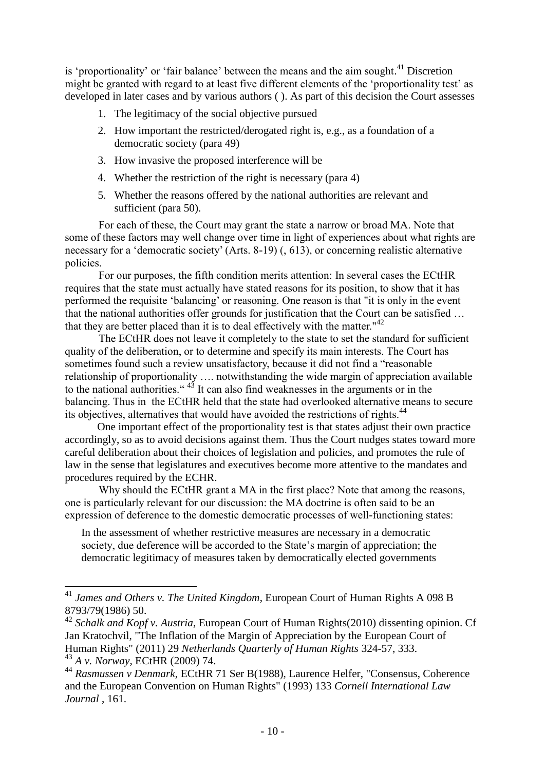is 'proportionality' or 'fair balance' between the means and the aim sought.<sup>41</sup> Discretion might be granted with regard to at least five different elements of the 'proportionality test' as developed in later cases and by various authors ( ). As part of this decision the Court assesses

- 1. The legitimacy of the social objective pursued
- 2. How important the restricted/derogated right is, e.g., as a foundation of a democratic society (para 49)
- 3. How invasive the proposed interference will be
- 4. Whether the restriction of the right is necessary (para 4)
- 5. Whether the reasons offered by the national authorities are relevant and sufficient (para 50).

For each of these, the Court may grant the state a narrow or broad MA. Note that some of these factors may well change over time in light of experiences about what rights are necessary for a 'democratic society' (Arts. 8-19) (, 613), or concerning realistic alternative policies.

For our purposes, the fifth condition merits attention: In several cases the ECtHR requires that the state must actually have stated reasons for its position, to show that it has performed the requisite 'balancing' or reasoning. One reason is that "it is only in the event that the national authorities offer grounds for justification that the Court can be satisfied … that they are better placed than it is to deal effectively with the matter."<sup>42</sup>

The ECtHR does not leave it completely to the state to set the standard for sufficient quality of the deliberation, or to determine and specify its main interests. The Court has sometimes found such a review unsatisfactory, because it did not find a "reasonable relationship of proportionality …. notwithstanding the wide margin of appreciation available to the national authorities."<sup>43</sup> It can also find weaknesses in the arguments or in the balancing. Thus in the ECtHR held that the state had overlooked alternative means to secure its objectives, alternatives that would have avoided the restrictions of rights.<sup>44</sup>

One important effect of the proportionality test is that states adjust their own practice accordingly, so as to avoid decisions against them. Thus the Court nudges states toward more careful deliberation about their choices of legislation and policies, and promotes the rule of law in the sense that legislatures and executives become more attentive to the mandates and procedures required by the ECHR.

Why should the ECtHR grant a MA in the first place? Note that among the reasons, one is particularly relevant for our discussion: the MA doctrine is often said to be an expression of deference to the domestic democratic processes of well-functioning states:

In the assessment of whether restrictive measures are necessary in a democratic society, due deference will be accorded to the State's margin of appreciation; the democratic legitimacy of measures taken by democratically elected governments

<sup>41</sup> *James and Others v. The United Kingdom*, European Court of Human Rights A 098 B 8793/79(1986) 50.

<sup>42</sup> *Schalk and Kopf v. Austria*, European Court of Human Rights(2010) dissenting opinion. Cf Jan Kratochvil, "The Inflation of the Margin of Appreciation by the European Court of Human Rights" (2011) 29 *Netherlands Quarterly of Human Rights* 324-57, 333. <sup>43</sup> *A v. Norway*, ECtHR (2009) 74.

<sup>44</sup> *Rasmussen v Denmark*, ECtHR 71 Ser B(1988), Laurence Helfer, "Consensus, Coherence and the European Convention on Human Rights" (1993) 133 *Cornell International Law Journal* , 161.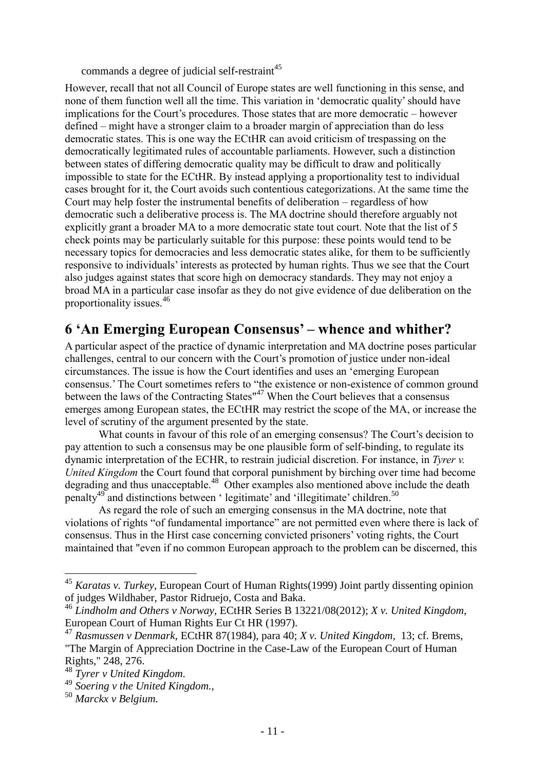commands a degree of judicial self-restraint<sup>45</sup>

However, recall that not all Council of Europe states are well functioning in this sense, and none of them function well all the time. This variation in 'democratic quality' should have implications for the Court's procedures. Those states that are more democratic – however defined – might have a stronger claim to a broader margin of appreciation than do less democratic states. This is one way the ECtHR can avoid criticism of trespassing on the democratically legitimated rules of accountable parliaments. However, such a distinction between states of differing democratic quality may be difficult to draw and politically impossible to state for the ECtHR. By instead applying a proportionality test to individual cases brought for it, the Court avoids such contentious categorizations. At the same time the Court may help foster the instrumental benefits of deliberation – regardless of how democratic such a deliberative process is. The MA doctrine should therefore arguably not explicitly grant a broader MA to a more democratic state tout court. Note that the list of 5 check points may be particularly suitable for this purpose: these points would tend to be necessary topics for democracies and less democratic states alike, for them to be sufficiently responsive to individuals' interests as protected by human rights. Thus we see that the Court also judges against states that score high on democracy standards. They may not enjoy a broad MA in a particular case insofar as they do not give evidence of due deliberation on the proportionality issues. 46

## **6 'An Emerging European Consensus' – whence and whither?**

A particular aspect of the practice of dynamic interpretation and MA doctrine poses particular challenges, central to our concern with the Court's promotion of justice under non-ideal circumstances. The issue is how the Court identifies and uses an 'emerging European consensus.' The Court sometimes refers to "the existence or non-existence of common ground between the laws of the Contracting States"<sup>47</sup> When the Court believes that a consensus emerges among European states, the ECtHR may restrict the scope of the MA, or increase the level of scrutiny of the argument presented by the state.

What counts in favour of this role of an emerging consensus? The Court's decision to pay attention to such a consensus may be one plausible form of self-binding, to regulate its dynamic interpretation of the ECHR, to restrain judicial discretion. For instance, in *Tyrer v. United Kingdom* the Court found that corporal punishment by birching over time had become degrading and thus unacceptable.<sup>48</sup> Other examples also mentioned above include the death penalty<sup>49</sup> and distinctions between 'legitimate' and 'illegitimate' children.<sup>50</sup>

As regard the role of such an emerging consensus in the MA doctrine, note that violations of rights "of fundamental importance" are not permitted even where there is lack of consensus. Thus in the Hirst case concerning convicted prisoners' voting rights, the Court maintained that "even if no common European approach to the problem can be discerned, this

<sup>45</sup> *Karatas v. Turkey*, European Court of Human Rights(1999) Joint partly dissenting opinion of judges Wildhaber, Pastor Ridruejo, Costa and Baka.

<sup>46</sup> *Lindholm and Others v Norway*, ECtHR Series B 13221/08(2012); *X v. United Kingdom*, European Court of Human Rights Eur Ct HR (1997).

<sup>47</sup> *Rasmussen v Denmark*, ECtHR 87(1984), para 40; *X v. United Kingdom*, 13; cf. Brems, "The Margin of Appreciation Doctrine in the Case-Law of the European Court of Human Rights," 248, 276.

<sup>48</sup> *Tyrer v United Kingdom.*

<sup>49</sup> *Soering v the United Kingdom.*,

<sup>50</sup> *Marckx v Belgium.*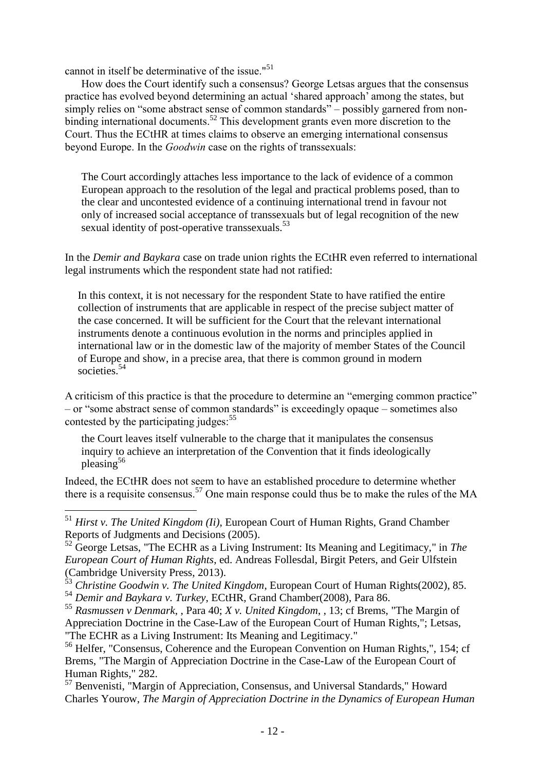cannot in itself be determinative of the issue."<sup>51</sup>

How does the Court identify such a consensus? George Letsas argues that the consensus practice has evolved beyond determining an actual 'shared approach' among the states, but simply relies on "some abstract sense of common standards" – possibly garnered from nonbinding international documents.<sup>52</sup> This development grants even more discretion to the Court. Thus the ECtHR at times claims to observe an emerging international consensus beyond Europe. In the *Goodwin* case on the rights of transsexuals:

The Court accordingly attaches less importance to the lack of evidence of a common European approach to the resolution of the legal and practical problems posed, than to the clear and uncontested evidence of a continuing international trend in favour not only of increased social acceptance of transsexuals but of legal recognition of the new sexual identity of post-operative transsexuals.<sup>53</sup>

In the *Demir and Baykara* case on trade union rights the ECtHR even referred to international legal instruments which the respondent state had not ratified:

In this context, it is not necessary for the respondent State to have ratified the entire collection of instruments that are applicable in respect of the precise subject matter of the case concerned. It will be sufficient for the Court that the relevant international instruments denote a continuous evolution in the norms and principles applied in international law or in the domestic law of the majority of member States of the Council of Europe and show, in a precise area, that there is common ground in modern societies. 54

A criticism of this practice is that the procedure to determine an "emerging common practice" – or "some abstract sense of common standards" is exceedingly opaque – sometimes also contested by the participating judges:<sup>55</sup>

the Court leaves itself vulnerable to the charge that it manipulates the consensus inquiry to achieve an interpretation of the Convention that it finds ideologically pleasing $56$ 

Indeed, the ECtHR does not seem to have an established procedure to determine whether there is a requisite consensus. <sup>57</sup> One main response could thus be to make the rules of the MA

<sup>51</sup> *Hirst v. The United Kingdom (Ii)*, European Court of Human Rights, Grand Chamber Reports of Judgments and Decisions (2005).

<sup>52</sup> George Letsas, "The ECHR as a Living Instrument: Its Meaning and Legitimacy," in *The European Court of Human Rights*, ed. Andreas Follesdal, Birgit Peters, and Geir Ulfstein (Cambridge University Press, 2013).

<sup>53</sup> *Christine Goodwin v. The United Kingdom*, European Court of Human Rights(2002), 85.

<sup>54</sup> *Demir and Baykara v. Turkey*, ECtHR, Grand Chamber(2008), Para 86.

<sup>55</sup> *Rasmussen v Denmark*, , Para 40; *X v. United Kingdom*, , 13; cf Brems, "The Margin of Appreciation Doctrine in the Case-Law of the European Court of Human Rights,"; Letsas, "The ECHR as a Living Instrument: Its Meaning and Legitimacy."

<sup>56</sup> Helfer, "Consensus, Coherence and the European Convention on Human Rights,", 154; cf Brems, "The Margin of Appreciation Doctrine in the Case-Law of the European Court of Human Rights," 282.

<sup>57</sup> Benvenisti, "Margin of Appreciation, Consensus, and Universal Standards," Howard Charles Yourow, *The Margin of Appreciation Doctrine in the Dynamics of European Human*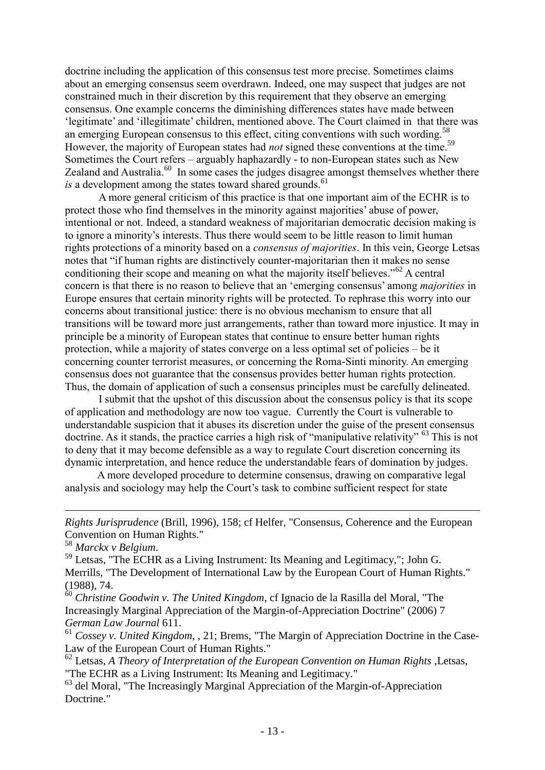doctrine including the application of this consensus test more precise. Sometimes claims about an emerging consensus seem overdrawn. Indeed, one may suspect that judges are not constrained much in their discretion by this requirement that they observe an emerging consensus. One example concerns the diminishing differences states have made between 'legitimate' and 'illegitimate' children, mentioned above. The Court claimed in that there was an emerging European consensus to this effect, citing conventions with such wording.<sup>58</sup> However, the majority of European states had *not* signed these conventions at the time.<sup>59</sup> Sometimes the Court refers – arguably haphazardly - to non-European states such as New Zealand and Australia.<sup>60</sup> In some cases the judges disagree amongst themselves whether there is a development among the states toward shared grounds.<sup>61</sup>

A more general criticism of this practice is that one important aim of the ECHR is to protect those who find themselves in the minority against majorities' abuse of power, intentional or not. Indeed, a standard weakness of majoritarian democratic decision making is to ignore a minority's interests. Thus there would seem to be little reason to limit human rights protections of a minority based on a *consensus of majorities*. In this vein, George Letsas notes that "if human rights are distinctively counter-majoritarian then it makes no sense conditioning their scope and meaning on what the majority itself believes."<sup>62</sup> A central concern is that there is no reason to believe that an 'emerging consensus' among *majorities* in Europe ensures that certain minority rights will be protected. To rephrase this worry into our concerns about transitional justice: there is no obvious mechanism to ensure that all transitions will be toward more just arrangements, rather than toward more injustice. It may in principle be a minority of European states that continue to ensure better human rights protection, while a majority of states converge on a less optimal set of policies – be it concerning counter terrorist measures, or concerning the Roma-Sinti minority. An emerging consensus does not guarantee that the consensus provides better human rights protection. Thus, the domain of application of such a consensus principles must be carefully delineated.

I submit that the upshot of this discussion about the consensus policy is that its scope of application and methodology are now too vague. Currently the Court is vulnerable to understandable suspicion that it abuses its discretion under the guise of the present consensus doctrine. As it stands, the practice carries a high risk of "manipulative relativity" <sup>63</sup> This is not to deny that it may become defensible as a way to regulate Court discretion concerning its dynamic interpretation, and hence reduce the understandable fears of domination by judges.

A more developed procedure to determine consensus, drawing on comparative legal analysis and sociology may help the Court's task to combine sufficient respect for state

*Rights Jurisprudence* (Brill, 1996), 158; cf Helfer, "Consensus, Coherence and the European Convention on Human Rights."

<sup>58</sup> *Marckx v Belgium*.

 $\overline{a}$ 

<sup>59</sup> Letsas, "The ECHR as a Living Instrument: Its Meaning and Legitimacy,"; John G. Merrills, "The Development of International Law by the European Court of Human Rights." (1988), 74.

<sup>60</sup> *Christine Goodwin v. The United Kingdom*, cf Ignacio de la Rasilla del Moral, "The Increasingly Marginal Appreciation of the Margin-of-Appreciation Doctrine" (2006) 7 *German Law Journal* 611.

<sup>61</sup> *Cossey v. United Kingdom*, , 21; Brems, "The Margin of Appreciation Doctrine in the Case-Law of the European Court of Human Rights."

<sup>62</sup> Letsas, *A Theory of Interpretation of the European Convention on Human Rights*, Letsas, "The ECHR as a Living Instrument: Its Meaning and Legitimacy."

<sup>63</sup> del Moral, "The Increasingly Marginal Appreciation of the Margin-of-Appreciation Doctrine."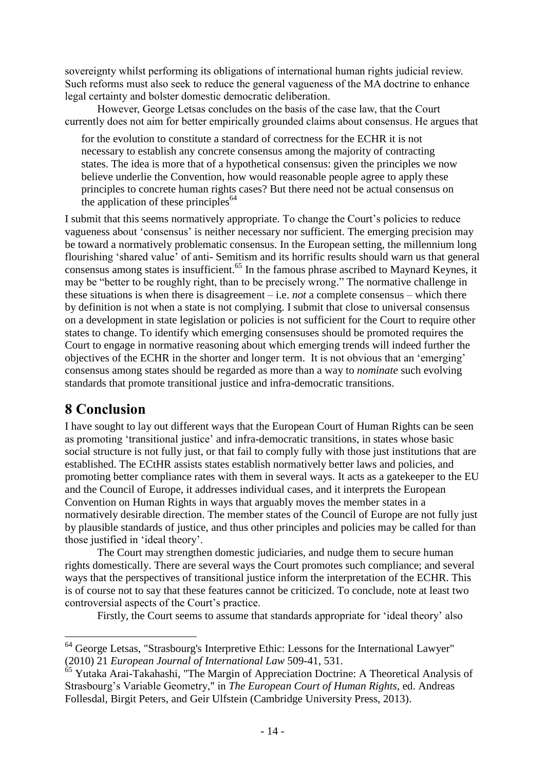sovereignty whilst performing its obligations of international human rights judicial review. Such reforms must also seek to reduce the general vagueness of the MA doctrine to enhance legal certainty and bolster domestic democratic deliberation.

However, George Letsas concludes on the basis of the case law, that the Court currently does not aim for better empirically grounded claims about consensus. He argues that

for the evolution to constitute a standard of correctness for the ECHR it is not necessary to establish any concrete consensus among the majority of contracting states. The idea is more that of a hypothetical consensus: given the principles we now believe underlie the Convention, how would reasonable people agree to apply these principles to concrete human rights cases? But there need not be actual consensus on the application of these principles<sup> $64$ </sup>

I submit that this seems normatively appropriate. To change the Court's policies to reduce vagueness about 'consensus' is neither necessary nor sufficient. The emerging precision may be toward a normatively problematic consensus. In the European setting, the millennium long flourishing 'shared value' of anti- Semitism and its horrific results should warn us that general consensus among states is insufficient. <sup>65</sup> In the famous phrase ascribed to Maynard Keynes, it may be "better to be roughly right, than to be precisely wrong." The normative challenge in these situations is when there is disagreement – i.e. *not* a complete consensus – which there by definition is not when a state is not complying. I submit that close to universal consensus on a development in state legislation or policies is not sufficient for the Court to require other states to change. To identify which emerging consensuses should be promoted requires the Court to engage in normative reasoning about which emerging trends will indeed further the objectives of the ECHR in the shorter and longer term. It is not obvious that an 'emerging' consensus among states should be regarded as more than a way to *nominate* such evolving standards that promote transitional justice and infra-democratic transitions.

# **8 Conclusion**

 $\overline{a}$ 

I have sought to lay out different ways that the European Court of Human Rights can be seen as promoting 'transitional justice' and infra-democratic transitions, in states whose basic social structure is not fully just, or that fail to comply fully with those just institutions that are established. The ECtHR assists states establish normatively better laws and policies, and promoting better compliance rates with them in several ways. It acts as a gatekeeper to the EU and the Council of Europe, it addresses individual cases, and it interprets the European Convention on Human Rights in ways that arguably moves the member states in a normatively desirable direction. The member states of the Council of Europe are not fully just by plausible standards of justice, and thus other principles and policies may be called for than those justified in 'ideal theory'.

The Court may strengthen domestic judiciaries, and nudge them to secure human rights domestically. There are several ways the Court promotes such compliance; and several ways that the perspectives of transitional justice inform the interpretation of the ECHR. This is of course not to say that these features cannot be criticized. To conclude, note at least two controversial aspects of the Court's practice.

Firstly, the Court seems to assume that standards appropriate for 'ideal theory' also

<sup>64</sup> George Letsas, "Strasbourg's Interpretive Ethic: Lessons for the International Lawyer" (2010) 21 *European Journal of International Law* 509-41, 531.

<sup>&</sup>lt;sup>65</sup> Yutaka Arai-Takahashi, "The Margin of Appreciation Doctrine: A Theoretical Analysis of Strasbourg's Variable Geometry," in *The European Court of Human Rights*, ed. Andreas Follesdal, Birgit Peters, and Geir Ulfstein (Cambridge University Press, 2013).